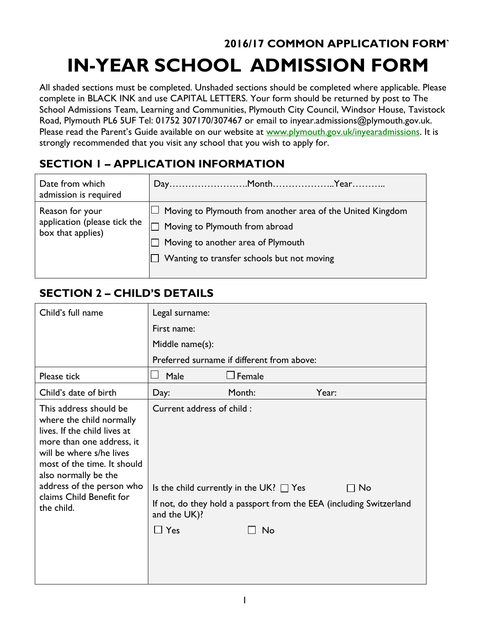# **2016/17 COMMON APPLICATION FORM` IN-YEAR SCHOOL ADMISSION FORM**

All shaded sections must be completed. Unshaded sections should be completed where applicable. Please complete in BLACK INK and use CAPITAL LETTERS. Your form should be returned by post to The School Admissions Team, Learning and Communities, Plymouth City Council, Windsor House, Tavistock Road, Plymouth PL6 5UF Tel: 01752 307170/307467 or email to inyear.admissions@plymouth.gov.uk. Please read the Parent's Guide available on our website at [www.plymouth.gov.uk/inyearadmissions.](http://www.plymouth.gov.uk/inyearadmissions) It is strongly recommended that you visit any school that you wish to apply for.

#### **SECTION 1 – APPLICATION INFORMATION**

| Date from which<br>admission is required                             |                                                                                                                                                                                                       |
|----------------------------------------------------------------------|-------------------------------------------------------------------------------------------------------------------------------------------------------------------------------------------------------|
| Reason for your<br>application (please tick the<br>box that applies) | $\Box$ Moving to Plymouth from another area of the United Kingdom<br>Moving to Plymouth from abroad<br>$\Box$ Moving to another area of Plymouth<br>$\Box$ Wanting to transfer schools but not moving |

## **SECTION 2 – CHILD'S DETAILS**

| Child's full name                                                                                                                                                                                                                                                         | Legal surname:                                          |                                                    |                                                                                    |
|---------------------------------------------------------------------------------------------------------------------------------------------------------------------------------------------------------------------------------------------------------------------------|---------------------------------------------------------|----------------------------------------------------|------------------------------------------------------------------------------------|
|                                                                                                                                                                                                                                                                           | First name:                                             |                                                    |                                                                                    |
|                                                                                                                                                                                                                                                                           | Middle name(s):                                         |                                                    |                                                                                    |
|                                                                                                                                                                                                                                                                           |                                                         | Preferred surname if different from above:         |                                                                                    |
| Please tick                                                                                                                                                                                                                                                               | Male                                                    | Female                                             |                                                                                    |
| Child's date of birth                                                                                                                                                                                                                                                     | Day:                                                    | Month:                                             | Year:                                                                              |
| This address should be<br>where the child normally<br>lives. If the child lives at<br>more than one address, it<br>will be where s/he lives<br>most of the time. It should<br>also normally be the<br>address of the person who<br>claims Child Benefit for<br>the child. | Current address of child:<br>and the UK)?<br>$\Box$ Yes | Is the child currently in the UK? $\Box$ Yes<br>No | $\sqcap$ No<br>If not, do they hold a passport from the EEA (including Switzerland |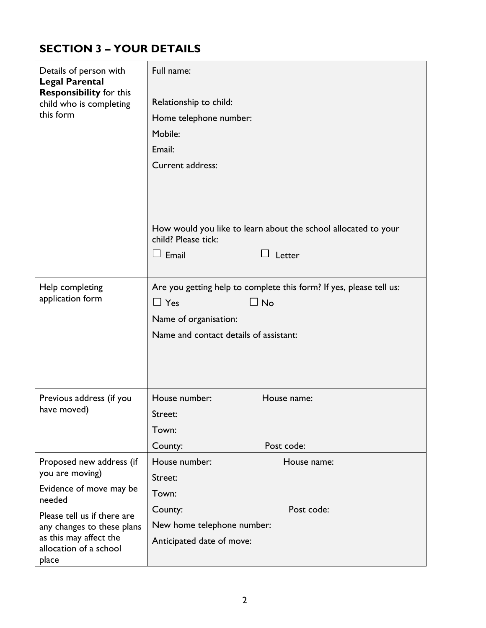### **SECTION 3 – YOUR DETAILS**

| Details of person with<br><b>Legal Parental</b>                        | Full name:                                                                            |
|------------------------------------------------------------------------|---------------------------------------------------------------------------------------|
| <b>Responsibility for this</b><br>child who is completing<br>this form | Relationship to child:                                                                |
|                                                                        | Home telephone number:                                                                |
|                                                                        | Mobile:                                                                               |
|                                                                        | Email:                                                                                |
|                                                                        | Current address:                                                                      |
|                                                                        |                                                                                       |
|                                                                        |                                                                                       |
|                                                                        |                                                                                       |
|                                                                        | How would you like to learn about the school allocated to your<br>child? Please tick: |
|                                                                        | $\Box$ Email<br>Letter                                                                |
|                                                                        |                                                                                       |
| Help completing                                                        | Are you getting help to complete this form? If yes, please tell us:                   |
| application form                                                       | $\Box$ No<br>$\Box$ Yes                                                               |
|                                                                        | Name of organisation:                                                                 |
|                                                                        | Name and contact details of assistant:                                                |
|                                                                        |                                                                                       |
|                                                                        |                                                                                       |
|                                                                        |                                                                                       |
| Previous address (if you                                               | House number:<br>House name:                                                          |
| have moved)                                                            | Street:                                                                               |
|                                                                        | Town:                                                                                 |
|                                                                        | Post code:<br>County:                                                                 |
| Proposed new address (if                                               | House number:<br>House name:                                                          |
| you are moving)                                                        | Street:                                                                               |
| Evidence of move may be<br>needed                                      | Town:                                                                                 |
| Please tell us if there are                                            | Post code:<br>County:                                                                 |
| any changes to these plans                                             | New home telephone number:                                                            |
| as this may affect the<br>allocation of a school<br>place              | Anticipated date of move:                                                             |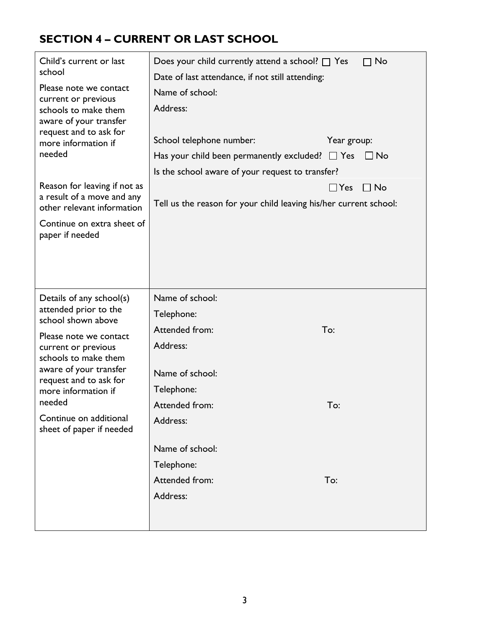### **SECTION 4 – CURRENT OR LAST SCHOOL**

| Child's current or last<br>school<br>Please note we contact<br>current or previous<br>schools to make them<br>aware of your transfer<br>request and to ask for<br>more information if<br>needed<br>Reason for leaving if not as<br>a result of a move and any<br>other relevant information<br>Continue on extra sheet of<br>paper if needed | Does your child currently attend a school? $\Box$ Yes<br>$\Box$ No<br>Date of last attendance, if not still attending:<br>Name of school:<br>Address:<br>School telephone number:<br>Year group:<br>Has your child been permanently excluded? $\Box$ Yes<br>$\Box$ No<br>Is the school aware of your request to transfer?<br>$\Box$ Yes<br>$\Box$ No<br>Tell us the reason for your child leaving his/her current school: |
|----------------------------------------------------------------------------------------------------------------------------------------------------------------------------------------------------------------------------------------------------------------------------------------------------------------------------------------------|---------------------------------------------------------------------------------------------------------------------------------------------------------------------------------------------------------------------------------------------------------------------------------------------------------------------------------------------------------------------------------------------------------------------------|
| Details of any school(s)<br>attended prior to the<br>school shown above<br>Please note we contact<br>current or previous<br>schools to make them<br>aware of your transfer<br>request and to ask for<br>more information if<br>needed<br>Continue on additional<br>sheet of paper if needed                                                  | Name of school:<br>Telephone:<br>Attended from:<br>To:<br>Address:<br>Name of school:<br>Telephone:<br>To:<br>Attended from:<br>Address:<br>Name of school:<br>Telephone:<br>Attended from:<br>To:<br>Address:                                                                                                                                                                                                            |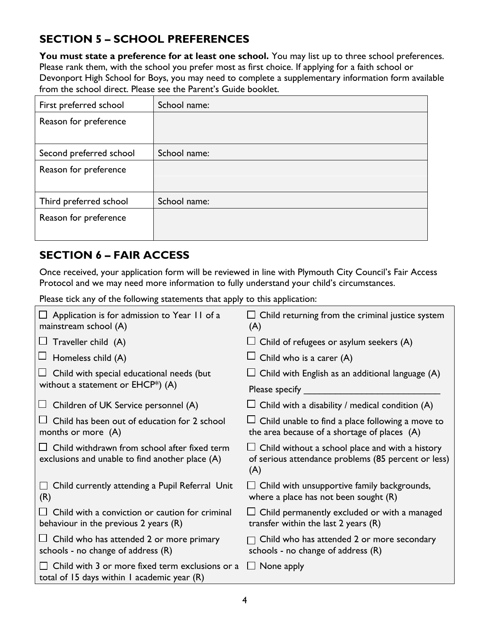#### **SECTION 5 – SCHOOL PREFERENCES**

You must state a preference for at least one school. You may list up to three school preferences. Please rank them, with the school you prefer most as first choice. If applying for a faith school or Devonport High School for Boys, you may need to complete a supplementary information form available from the school direct. Please see the Parent's Guide booklet.

| First preferred school  | School name: |
|-------------------------|--------------|
| Reason for preference   |              |
|                         |              |
| Second preferred school | School name: |
| Reason for preference   |              |
|                         |              |
| Third preferred school  | School name: |
| Reason for preference   |              |
|                         |              |

#### **SECTION 6 – FAIR ACCESS**

Once received, your application form will be reviewed in line with Plymouth City Council's Fair Access Protocol and we may need more information to fully understand your child's circumstances.

Please tick any of the following statements that apply to this application:

| Application is for admission to Year 11 of a<br>mainstream school (A)                                   | $\Box$ Child returning from the criminal justice system<br>(A)                                                       |
|---------------------------------------------------------------------------------------------------------|----------------------------------------------------------------------------------------------------------------------|
| Traveller child (A)<br>⊔                                                                                | $\Box$ Child of refugees or asylum seekers (A)                                                                       |
| Homeless child (A)                                                                                      | Child who is a carer (A)                                                                                             |
| Child with special educational needs (but                                                               | Child with English as an additional language (A)                                                                     |
| without a statement or $E HCP^*$ ) (A)                                                                  | Please specify                                                                                                       |
| Children of UK Service personnel (A)                                                                    | $\Box$ Child with a disability / medical condition (A)                                                               |
| Child has been out of education for 2 school<br>months or more (A)                                      | $\Box$ Child unable to find a place following a move to<br>the area because of a shortage of places (A)              |
| Child withdrawn from school after fixed term<br>exclusions and unable to find another place $(A)$       | $\Box$ Child without a school place and with a history<br>of serious attendance problems (85 percent or less)<br>(A) |
| Child currently attending a Pupil Referral Unit<br>ப<br>(R)                                             | $\Box$ Child with unsupportive family backgrounds,<br>where a place has not been sought $(R)$                        |
| Child with a conviction or caution for criminal<br>behaviour in the previous $2$ years $(R)$            | Child permanently excluded or with a managed<br>transfer within the last $2$ years $(R)$                             |
| Child who has attended 2 or more primary<br>ப<br>schools - no change of address (R)                     | Child who has attended 2 or more secondary<br>schools - no change of address $(R)$                                   |
| $\Box$ Child with 3 or more fixed term exclusions or a<br>total of 15 days within 1 academic year $(R)$ | $\Box$ None apply                                                                                                    |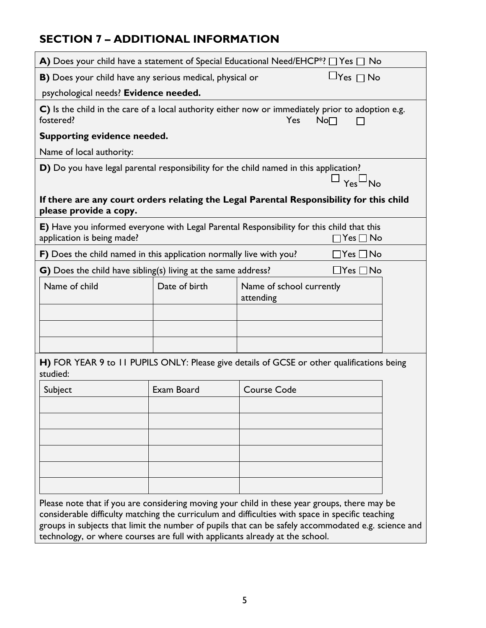#### **SECTION 7 – ADDITIONAL INFORMATION**

|                                                                     |               | A) Does your child have a statement of Special Educational Need/EHCP*? $\Box$ Yes $\Box$ No                                                                                                      |
|---------------------------------------------------------------------|---------------|--------------------------------------------------------------------------------------------------------------------------------------------------------------------------------------------------|
|                                                                     |               |                                                                                                                                                                                                  |
| <b>B)</b> Does your child have any serious medical, physical or     |               | $\Box$ Yes $\Box$ No                                                                                                                                                                             |
| psychological needs? Evidence needed.                               |               |                                                                                                                                                                                                  |
| fostered?                                                           |               | C) Is the child in the care of a local authority either now or immediately prior to adoption e.g.<br>Yes<br>$No\square$                                                                          |
| Supporting evidence needed.                                         |               |                                                                                                                                                                                                  |
| Name of local authority:                                            |               |                                                                                                                                                                                                  |
|                                                                     |               | D) Do you have legal parental responsibility for the child named in this application?<br>$Yes^{\square}No$                                                                                       |
| please provide a copy.                                              |               | If there are any court orders relating the Legal Parental Responsibility for this child                                                                                                          |
| application is being made?                                          |               | E) Have you informed everyone with Legal Parental Responsibility for this child that this<br>$Yes \Box No$                                                                                       |
| F) Does the child named in this application normally live with you? |               | $Yes \Box No$                                                                                                                                                                                    |
| G) Does the child have sibling(s) living at the same address?       |               | $\exists$ Yes $\Box$ No                                                                                                                                                                          |
| Name of child                                                       | Date of birth | Name of school currently<br>attending                                                                                                                                                            |
|                                                                     |               |                                                                                                                                                                                                  |
|                                                                     |               |                                                                                                                                                                                                  |
|                                                                     |               |                                                                                                                                                                                                  |
| studied:                                                            |               | H) FOR YEAR 9 to 11 PUPILS ONLY: Please give details of GCSE or other qualifications being                                                                                                       |
| Subject                                                             | Exam Board    | <b>Course Code</b>                                                                                                                                                                               |
|                                                                     |               |                                                                                                                                                                                                  |
|                                                                     |               |                                                                                                                                                                                                  |
|                                                                     |               |                                                                                                                                                                                                  |
|                                                                     |               |                                                                                                                                                                                                  |
|                                                                     |               |                                                                                                                                                                                                  |
|                                                                     |               |                                                                                                                                                                                                  |
|                                                                     |               |                                                                                                                                                                                                  |
|                                                                     |               | Please note that if you are considering moving your child in these year groups, there may be<br>considerable difficulty matching the curriculum and difficulties with space in specific teaching |

groups in subjects that limit the number of pupils that can be safely accommodated e.g. science and technology, or where courses are full with applicants already at the school.